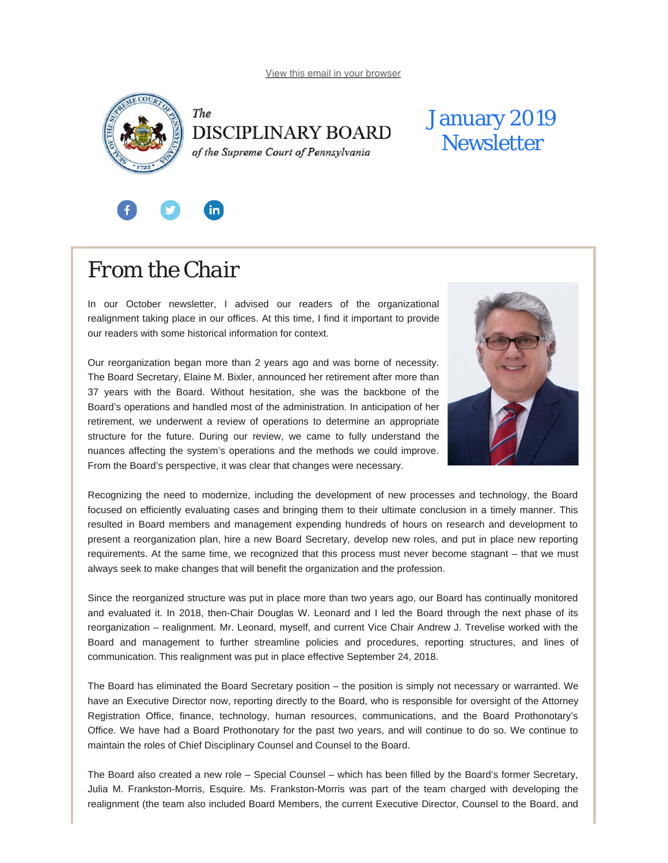<span id="page-0-0"></span>



## January 2019 **Newsletter**



 $\mathbf{in}$ 

In our October newsletter, I advised our readers of the organizational realignment taking place in our offices. At this time, I find it important to provide our readers with some historical information for context.

Our reorganization began more than 2 years ago and was borne of necessity. The Board Secretary, Elaine M. Bixler, announced her retirement after more than 37 years with the Board. Without hesitation, she was the backbone of the Board's operations and handled most of the administration. In anticipation of her retirement, we underwent a review of operations to determine an appropriate structure for the future. During our review, we came to fully understand the nuances affecting the system's operations and the methods we could improve. From the Board's perspective, it was clear that changes were necessary.



Recognizing the need to modernize, including the development of new processes and technology, the Board focused on efficiently evaluating cases and bringing them to their ultimate conclusion in a timely manner. This resulted in Board members and management expending hundreds of hours on research and development to present a reorganization plan, hire a new Board Secretary, develop new roles, and put in place new reporting requirements. At the same time, we recognized that this process must never become stagnant – that we must always seek to make changes that will benefit the organization and the profession.

Since the reorganized structure was put in place more than two years ago, our Board has continually monitored and evaluated it. In 2018, then-Chair Douglas W. Leonard and I led the Board through the next phase of its reorganization – realignment. Mr. Leonard, myself, and current Vice Chair Andrew J. Trevelise worked with the Board and management to further streamline policies and procedures, reporting structures, and lines of communication. This realignment was put in place effective September 24, 2018.

The Board has eliminated the Board Secretary position – the position is simply not necessary or warranted. We have an Executive Director now, reporting directly to the Board, who is responsible for oversight of the Attorney Registration Office, finance, technology, human resources, communications, and the Board Prothonotary's Office. We have had a Board Prothonotary for the past two years, and will continue to do so. We continue to maintain the roles of Chief Disciplinary Counsel and Counsel to the Board.

The Board also created a new role – Special Counsel – which has been filled by the Board's former Secretary, Julia M. Frankston-Morris, Esquire. Ms. Frankston-Morris was part of the team charged with developing the realignment (the team also included Board Members, the current Executive Director, Counsel to the Board, and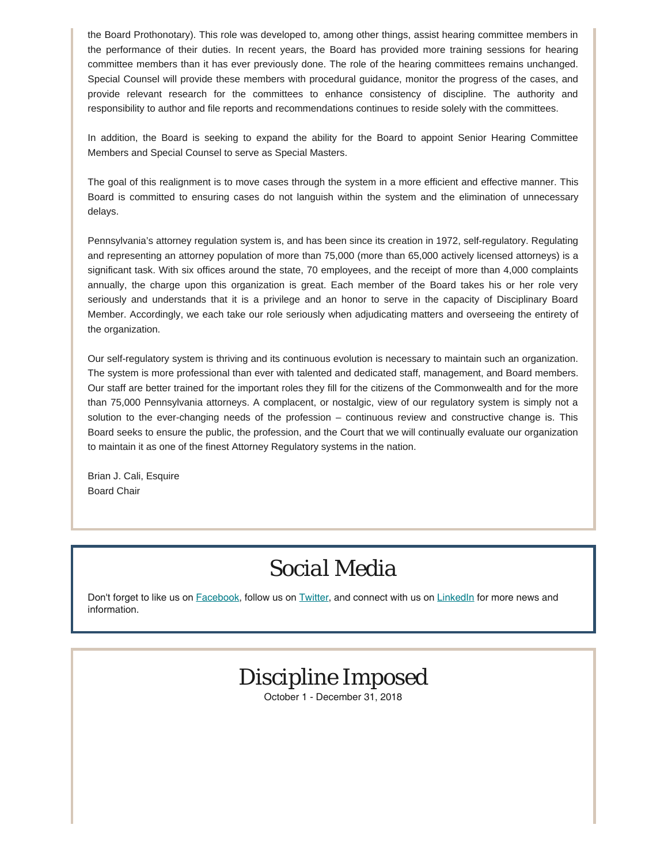the Board Prothonotary). This role was developed to, among other things, assist hearing committee members in the performance of their duties. In recent years, the Board has provided more training sessions for hearing committee members than it has ever previously done. The role of the hearing committees remains unchanged. Special Counsel will provide these members with procedural guidance, monitor the progress of the cases, and provide relevant research for the committees to enhance consistency of discipline. The authority and responsibility to author and file reports and recommendations continues to reside solely with the committees.

In addition, the Board is seeking to expand the ability for the Board to appoint Senior Hearing Committee Members and Special Counsel to serve as Special Masters.

The goal of this realignment is to move cases through the system in a more efficient and effective manner. This Board is committed to ensuring cases do not languish within the system and the elimination of unnecessary delays.

Pennsylvania's attorney regulation system is, and has been since its creation in 1972, self-regulatory. Regulating and representing an attorney population of more than 75,000 (more than 65,000 actively licensed attorneys) is a significant task. With six offices around the state, 70 employees, and the receipt of more than 4,000 complaints annually, the charge upon this organization is great. Each member of the Board takes his or her role very seriously and understands that it is a privilege and an honor to serve in the capacity of Disciplinary Board Member. Accordingly, we each take our role seriously when adjudicating matters and overseeing the entirety of the organization.

Our self-regulatory system is thriving and its continuous evolution is necessary to maintain such an organization. The system is more professional than ever with talented and dedicated staff, management, and Board members. Our staff are better trained for the important roles they fill for the citizens of the Commonwealth and for the more than 75,000 Pennsylvania attorneys. A complacent, or nostalgic, view of our regulatory system is simply not a solution to the ever-changing needs of the profession – continuous review and constructive change is. This Board seeks to ensure the public, the profession, and the Court that we will continually evaluate our organization to maintain it as one of the finest Attorney Regulatory systems in the nation.

Brian J. Cali, Esquire Board Chair

# *Social Media*

Don't forget to like us on **[Facebook](https://www.facebook.com/DBoardPA)**, follow us on **[Twitter](https://twitter.com/DBoardPa)**, and connect with us on **[LinkedIn](https://www.linkedin.com/company/pennsylvania-disciplinary-board/)** for more news and information.

# *Discipline Imposed*

October 1 - December 31, 2018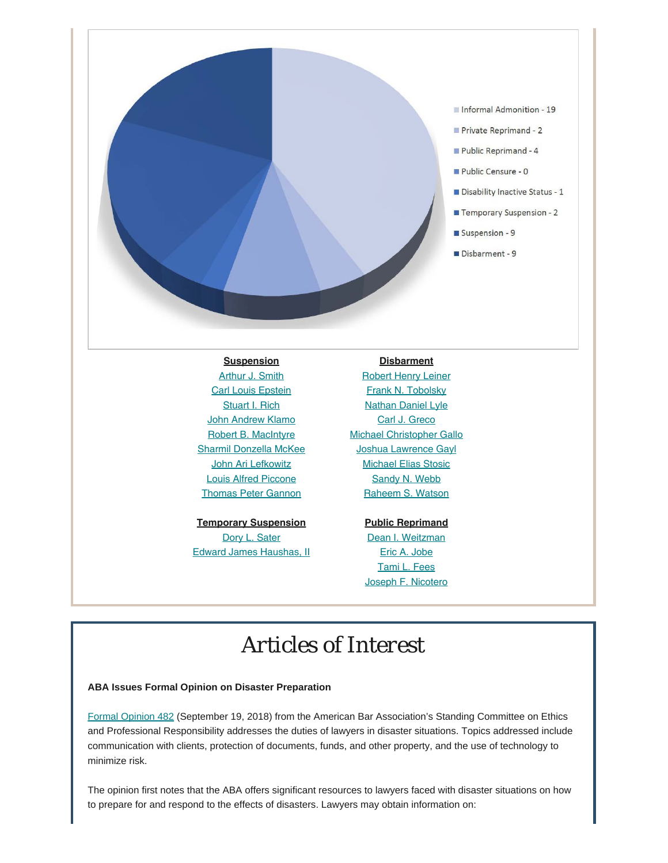

### **Suspension**

[Arthur J. Smith](http://www.pacourts.us/assets/opinions/DisciplinaryBoard/out/73DB2015-Smith.pdf) **[Carl Louis Epstein](http://www.pacourts.us/assets/opinions/DisciplinaryBoard/out/Epstein%20Order.pdf)** [Stuart I. Rich](http://www.pacourts.us/assets/opinions/DisciplinaryBoard/out/Rich Order.pdf) **[John Andrew Klamo](http://www.pacourts.us/assets/opinions/DisciplinaryBoard/out/Klamo Order.pdf)** [Robert B. MacIntyre](http://www.pacourts.us/assets/opinions/DisciplinaryBoard/out/104DB2018-MacIntyre.pdf) [Sharmil Donzella McKee](http://www.pacourts.us/assets/opinions/DisciplinaryBoard/out/169DB2018-McKee.pdf) [John Ari Lefkowitz](http://www.pacourts.us/assets/opinions/DisciplinaryBoard/out/Lefkowitz%20RD%20Order.pdf) [Louis Alfred Piccone](http://www.pacourts.us/assets/opinions/DisciplinaryBoard/out/102DB2018-Piccone.pdf) [Thomas Peter Gannon](http://www.pacourts.us/assets/opinions/DisciplinaryBoard/out/123DB2017-Gannon.pdf)

**Temporary Suspension** [Dory L. Sater](http://www.pacourts.us/assets/opinions/DisciplinaryBoard/out/Sater%20Order.pdf) [Edward James Haushas, II](http://www.pacourts.us/assets/opinions/DisciplinaryBoard/out/Kaushas%20ETS.pdf)

### **Disbarment**

**[Robert Henry Leiner](http://www.pacourts.us/assets/opinions/DisciplinaryBoard/out/Leiner%20Order.pdf)** [Frank N. Tobolsky](http://www.pacourts.us/assets/opinions/DisciplinaryBoard/out/Tobolsky%20Order.pdf) [Nathan Daniel Lyle](http://www.pacourts.us/assets/opinions/DisciplinaryBoard/out/189DB2017-Lyle.pdf) [Carl J. Greco](http://www.pacourts.us/assets/opinions/DisciplinaryBoard/out/Greco%20Order.pdf) [Michael Christopher Gallo](http://www.pacourts.us/assets/opinions/DisciplinaryBoard/out/121DB2017-Gallo.pdf) [Joshua Lawrence Gayl](http://www.pacourts.us/assets/opinions/DisciplinaryBoard/out/79DB2016-Gayl.pdf) [Michael Elias Stosic](http://www.pacourts.us/assets/opinions/DisciplinaryBoard/out/Stosic%20RD%20Order.pdf) [Sandy N. Webb](http://www.pacourts.us/assets/opinions/DisciplinaryBoard/out/Certified%20Copy%20-%20Disbarment%20Webb.pdf) [Raheem S. Watson](http://www.pacourts.us/assets/opinions/DisciplinaryBoard/out/Certified%20Copy%20-%20Watson.pdf)

### **Public Reprimand**

[Dean I. Weitzman](http://www.pacourts.us/assets/opinions/DisciplinaryBoard/out/140DB2018-Weitzman.pdf) [Eric A. Jobe](http://www.pacourts.us/assets/opinions/DisciplinaryBoard/out/31DB2018-Jobe.pdf) [Tami L. Fees](http://www.pacourts.us/assets/opinions/DisciplinaryBoard/out/123DB2018-Fees.pdf) [Joseph F. Nicotero](http://www.pacourts.us/assets/opinions/DisciplinaryBoard/out/32DB2018-Nicotero.pdf)

# *Articles of Interest*

### **ABA Issues Formal Opinion on Disaster Preparation**

[Formal Opinion 482](https://www.americanbar.org/content/dam/aba/administrative/professional_responsibility/aba_formal_opinion_482.pdf) (September 19, 2018) from the American Bar Association's Standing Committee on Ethics and Professional Responsibility addresses the duties of lawyers in disaster situations. Topics addressed include communication with clients, protection of documents, funds, and other property, and the use of technology to minimize risk.

The opinion first notes that the ABA offers significant resources to lawyers faced with disaster situations on how to prepare for and respond to the effects of disasters. Lawyers may obtain information on: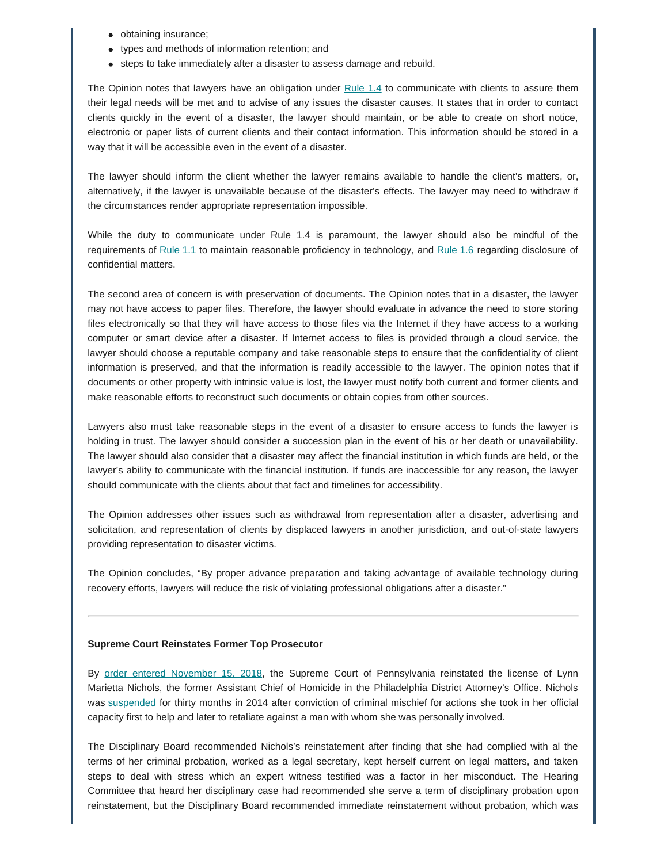- obtaining insurance;
- types and methods of information retention; and
- steps to take immediately after a disaster to assess damage and rebuild.

The Opinion notes that lawyers have an obligation under  $Rule 1.4$  to communicate with clients to assure them their legal needs will be met and to advise of any issues the disaster causes. It states that in order to contact clients quickly in the event of a disaster, the lawyer should maintain, or be able to create on short notice, electronic or paper lists of current clients and their contact information. This information should be stored in a way that it will be accessible even in the event of a disaster.

The lawyer should inform the client whether the lawyer remains available to handle the client's matters, or, alternatively, if the lawyer is unavailable because of the disaster's effects. The lawyer may need to withdraw if the circumstances render appropriate representation impossible.

While the duty to communicate under Rule 1.4 is paramount, the lawyer should also be mindful of the requirements of [Rule 1.1](https://www.americanbar.org/groups/professional_responsibility/publications/model_rules_of_professional_conduct/rule_1_1_competence/) to maintain reasonable proficiency in technology, and [Rule 1.6](https://www.americanbar.org/groups/professional_responsibility/publications/model_rules_of_professional_conduct/rule_1_6_confidentiality_of_information/) regarding disclosure of confidential matters.

The second area of concern is with preservation of documents. The Opinion notes that in a disaster, the lawyer may not have access to paper files. Therefore, the lawyer should evaluate in advance the need to store storing files electronically so that they will have access to those files via the Internet if they have access to a working computer or smart device after a disaster. If Internet access to files is provided through a cloud service, the lawyer should choose a reputable company and take reasonable steps to ensure that the confidentiality of client information is preserved, and that the information is readily accessible to the lawyer. The opinion notes that if documents or other property with intrinsic value is lost, the lawyer must notify both current and former clients and make reasonable efforts to reconstruct such documents or obtain copies from other sources.

Lawyers also must take reasonable steps in the event of a disaster to ensure access to funds the lawyer is holding in trust. The lawyer should consider a succession plan in the event of his or her death or unavailability. The lawyer should also consider that a disaster may affect the financial institution in which funds are held, or the lawyer's ability to communicate with the financial institution. If funds are inaccessible for any reason, the lawyer should communicate with the clients about that fact and timelines for accessibility.

The Opinion addresses other issues such as withdrawal from representation after a disaster, advertising and solicitation, and representation of clients by displaced lawyers in another jurisdiction, and out-of-state lawyers providing representation to disaster victims.

The Opinion concludes, "By proper advance preparation and taking advantage of available technology during recovery efforts, lawyers will reduce the risk of violating professional obligations after a disaster."

#### **Supreme Court Reinstates Former Top Prosecutor**

By [order entered November 15, 2018](http://www.pacourts.us/assets/opinions/DisciplinaryBoard/out/49DB2014-R-Nichols.pdf), the Supreme Court of Pennsylvania reinstated the license of Lynn Marietta Nichols, the former Assistant Chief of Homicide in the Philadelphia District Attorney's Office. Nichols was [suspended](http://www.pacourts.us/assets/opinions/DisciplinaryBoard/out/49DB2014-Nichols.pdf) for thirty months in 2014 after conviction of criminal mischief for actions she took in her official capacity first to help and later to retaliate against a man with whom she was personally involved.

The Disciplinary Board recommended Nichols's reinstatement after finding that she had complied with al the terms of her criminal probation, worked as a legal secretary, kept herself current on legal matters, and taken steps to deal with stress which an expert witness testified was a factor in her misconduct. The Hearing Committee that heard her disciplinary case had recommended she serve a term of disciplinary probation upon reinstatement, but the Disciplinary Board recommended immediate reinstatement without probation, which was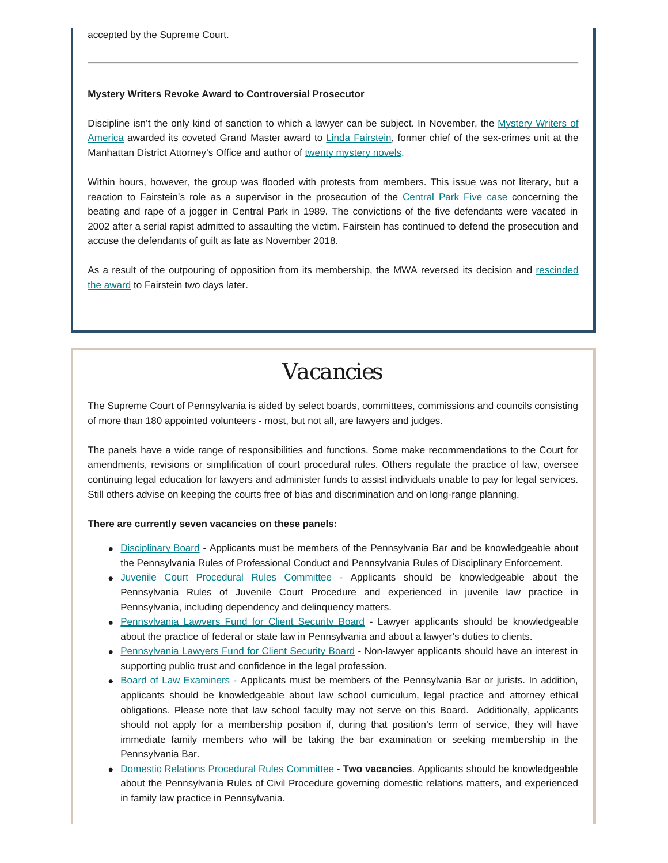accepted by the Supreme Court.

### **Mystery Writers Revoke Award to Controversial Prosecutor**

Discipline isn't the only kind of sanction to which a lawyer can be subject. In November, the [Mystery Writers of](https://mysterywriters.org/about-mwa/) [America](https://mysterywriters.org/about-mwa/) awarded its coveted Grand Master award to [Linda Fairstein](https://www.simonandschuster.com/authors/Linda-Fairstein/1674448), former chief of the sex-crimes unit at the Manhattan District Attorney's Office and author of [twenty mystery novels](http://www.lindafairstein.com/#novels).

Within hours, however, the group was flooded with protests from members. This issue was not literary, but a reaction to Fairstein's role as a supervisor in the prosecution of the [Central Park Five case](https://www.washingtonpost.com/nation/2018/11/30/mystery-writers-group-rescinds-award-sex-crimes-prosecutor-over-her-role-central-park-five-rape-case/?noredirect=on&utm_term=.8414cc7ed0f7&wpisrc=nl_mix&wpmm=1) concerning the beating and rape of a jogger in Central Park in 1989. The convictions of the five defendants were vacated in 2002 after a serial rapist admitted to assaulting the victim. Fairstein has continued to defend the prosecution and accuse the defendants of guilt as late as November 2018.

As a result of the outpouring of opposition from its membership, the MWA reversed its decision and [rescinded](https://mysterywriters.org/mystery-writers-of-america-withdraws-fairstein-award/) [the award](https://mysterywriters.org/mystery-writers-of-america-withdraws-fairstein-award/) to Fairstein two days later.

## *Vacancies*

The Supreme Court of Pennsylvania is aided by select boards, committees, commissions and councils consisting of more than 180 appointed volunteers - most, but not all, are lawyers and judges.

The panels have a wide range of responsibilities and functions. Some make recommendations to the Court for amendments, revisions or simplification of court procedural rules. Others regulate the practice of law, oversee continuing legal education for lawyers and administer funds to assist individuals unable to pay for legal services. Still others advise on keeping the courts free of bias and discrimination and on long-range planning.

#### **There are currently seven vacancies on these panels:**

- [Disciplinary Board](http://www.pacourts.us/courts/supreme-court/committees/membership-requirements-for-the-disciplinary-board) Applicants must be members of the Pennsylvania Bar and be knowledgeable about the Pennsylvania Rules of Professional Conduct and Pennsylvania Rules of Disciplinary Enforcement.
- [Juvenile Court Procedural Rules Committee](http://www.pacourts.us/courts/supreme-court/committees/membership-requirements-for-the-juvenile-court-procedural-rules-committee) Applicants should be knowledgeable about the Pennsylvania Rules of Juvenile Court Procedure and experienced in juvenile law practice in Pennsylvania, including dependency and delinquency matters.
- [Pennsylvania Lawyers Fund for Client Security Board](http://www.pacourts.us/courts/supreme-court/committees/membership-requirements-for-the-pennsylvania-lawyers-fund-for-client-security-board) Lawyer applicants should be knowledgeable about the practice of federal or state law in Pennsylvania and about a lawyer's duties to clients.
- [Pennsylvania Lawyers Fund for Client Security Board](http://www.pacourts.us/courts/supreme-court/committees/membership-requirements-for-the-pennsylvania-lawyers-fund-for-client-security-board) Non-lawyer applicants should have an interest in supporting public trust and confidence in the legal profession.
- [Board of Law Examiners](http://www.pacourts.us/courts/supreme-court/committees/membership-requirements-for-the-board-of-law-examiners)  Applicants must be members of the Pennsylvania Bar or jurists. In addition, applicants should be knowledgeable about law school curriculum, legal practice and attorney ethical obligations. Please note that law school faculty may not serve on this Board. Additionally, applicants should not apply for a membership position if, during that position's term of service, they will have immediate family members who will be taking the bar examination or seeking membership in the Pennsylvania Bar.
- [Domestic Relations Procedural Rules Committee](http://www.pacourts.us/courts/supreme-court/committees/membership-requirements-for-the-domestic-relations-procedural-rules-committee)  **Two vacancies**. Applicants should be knowledgeable about the Pennsylvania Rules of Civil Procedure governing domestic relations matters, and experienced in family law practice in Pennsylvania.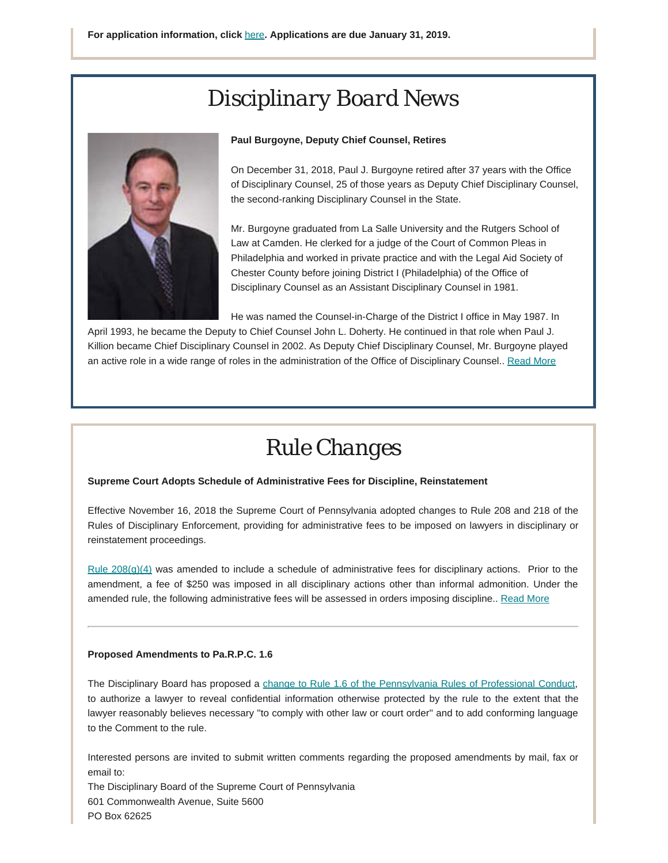# *Disciplinary Board News*



### **Paul Burgoyne, Deputy Chief Counsel, Retires**

On December 31, 2018, Paul J. Burgoyne retired after 37 years with the Office of Disciplinary Counsel, 25 of those years as Deputy Chief Disciplinary Counsel, the second-ranking Disciplinary Counsel in the State.

Mr. Burgoyne graduated from La Salle University and the Rutgers School of Law at Camden. He clerked for a judge of the Court of Common Pleas in Philadelphia and worked in private practice and with the Legal Aid Society of Chester County before joining District I (Philadelphia) of the Office of Disciplinary Counsel as an Assistant Disciplinary Counsel in 1981.

He was named the Counsel-in-Charge of the District I office in May 1987. In

April 1993, he became the Deputy to Chief Counsel John L. Doherty. He continued in that role when Paul J. Killion became Chief Disciplinary Counsel in 2002. As Deputy Chief Disciplinary Counsel, Mr. Burgoyne played an active role in a wide range of roles in the administration of the Office of Disciplinary Counsel.. [Read More](https://www.padisciplinaryboard.org/news-media/news-article/59/paul-burgoyne-deputy-chief-counsel-retires)

# *Rule Changes*

### **Supreme Court Adopts Schedule of Administrative Fees for Discipline, Reinstatement**

Effective November 16, 2018 the Supreme Court of Pennsylvania adopted changes to Rule 208 and 218 of the Rules of Disciplinary Enforcement, providing for administrative fees to be imposed on lawyers in disciplinary or reinstatement proceedings.

[Rule 208\(g\)\(4\)](https://www.pacode.com/secure/data/204/chapter83/chap83toc.html#208.) was amended to include a schedule of administrative fees for disciplinary actions. Prior to the amendment, a fee of \$250 was imposed in all disciplinary actions other than informal admonition. Under the amended rule, the following administrative fees will be assessed in orders imposing discipline.. [Read More](https://www.padisciplinaryboard.org/news-media/news-article/54/supreme-court-adopts-schedule-of-fees-in-disciplinary-and-reinstatement-matters)

#### **Proposed Amendments to Pa.R.P.C. 1.6**

The Disciplinary Board has proposed a [change to Rule 1.6 of the Pennsylvania Rules of Professional Conduct](https://www.pabulletin.com/secure/data/vol48/48-51/1963.html), to authorize a lawyer to reveal confidential information otherwise protected by the rule to the extent that the lawyer reasonably believes necessary ''to comply with other law or court order'' and to add conforming language to the Comment to the rule.

Interested persons are invited to submit written comments regarding the proposed amendments by mail, fax or email to:

The Disciplinary Board of the Supreme Court of Pennsylvania 601 Commonwealth Avenue, Suite 5600 PO Box 62625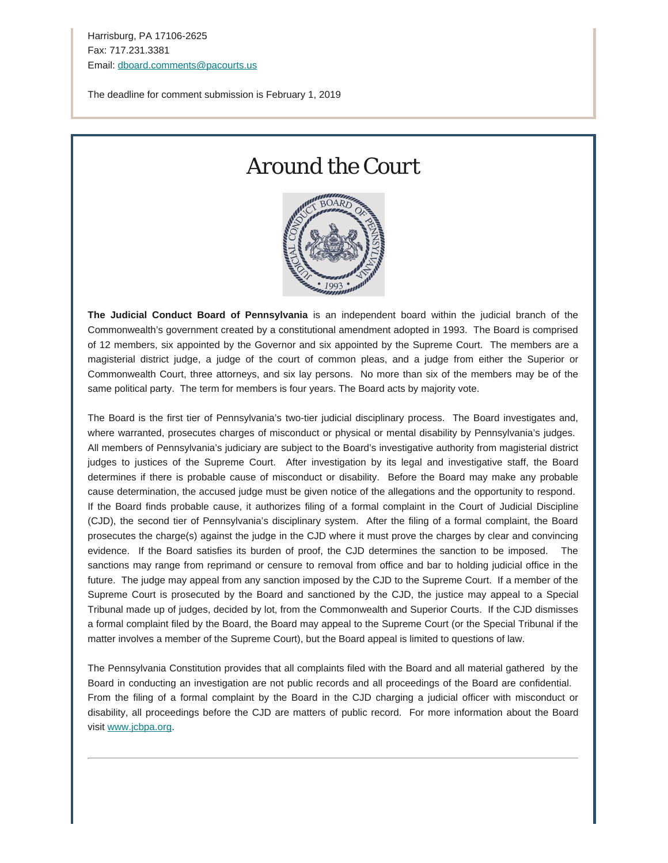Harrisburg, PA 17106-2625 Fax: 717.231.3381 Email: [dboard.comments@pacourts.us](mailto:dboard.comments@pacourts.us?subject=Comments%20Regarding%20Pa.R.D.E.%20208(g))

The deadline for comment submission is February 1, 2019

## *Around the Court*



**The Judicial Conduct Board of Pennsylvania** is an independent board within the judicial branch of the Commonwealth's government created by a constitutional amendment adopted in 1993. The Board is comprised of 12 members, six appointed by the Governor and six appointed by the Supreme Court. The members are a magisterial district judge, a judge of the court of common pleas, and a judge from either the Superior or Commonwealth Court, three attorneys, and six lay persons. No more than six of the members may be of the same political party. The term for members is four years. The Board acts by majority vote.

The Board is the first tier of Pennsylvania's two-tier judicial disciplinary process. The Board investigates and, where warranted, prosecutes charges of misconduct or physical or mental disability by Pennsylvania's judges. All members of Pennsylvania's judiciary are subject to the Board's investigative authority from magisterial district judges to justices of the Supreme Court. After investigation by its legal and investigative staff, the Board determines if there is probable cause of misconduct or disability. Before the Board may make any probable cause determination, the accused judge must be given notice of the allegations and the opportunity to respond. If the Board finds probable cause, it authorizes filing of a formal complaint in the Court of Judicial Discipline (CJD), the second tier of Pennsylvania's disciplinary system. After the filing of a formal complaint, the Board prosecutes the charge(s) against the judge in the CJD where it must prove the charges by clear and convincing evidence. If the Board satisfies its burden of proof, the CJD determines the sanction to be imposed. The sanctions may range from reprimand or censure to removal from office and bar to holding judicial office in the future. The judge may appeal from any sanction imposed by the CJD to the Supreme Court. If a member of the Supreme Court is prosecuted by the Board and sanctioned by the CJD, the justice may appeal to a Special Tribunal made up of judges, decided by lot, from the Commonwealth and Superior Courts. If the CJD dismisses a formal complaint filed by the Board, the Board may appeal to the Supreme Court (or the Special Tribunal if the matter involves a member of the Supreme Court), but the Board appeal is limited to questions of law.

The Pennsylvania Constitution provides that all complaints filed with the Board and all material gathered by the Board in conducting an investigation are not public records and all proceedings of the Board are confidential. From the filing of a formal complaint by the Board in the CJD charging a judicial officer with misconduct or disability, all proceedings before the CJD are matters of public record. For more information about the Board visit [www.jcbpa.org.](http://www.jcbpa.org/)